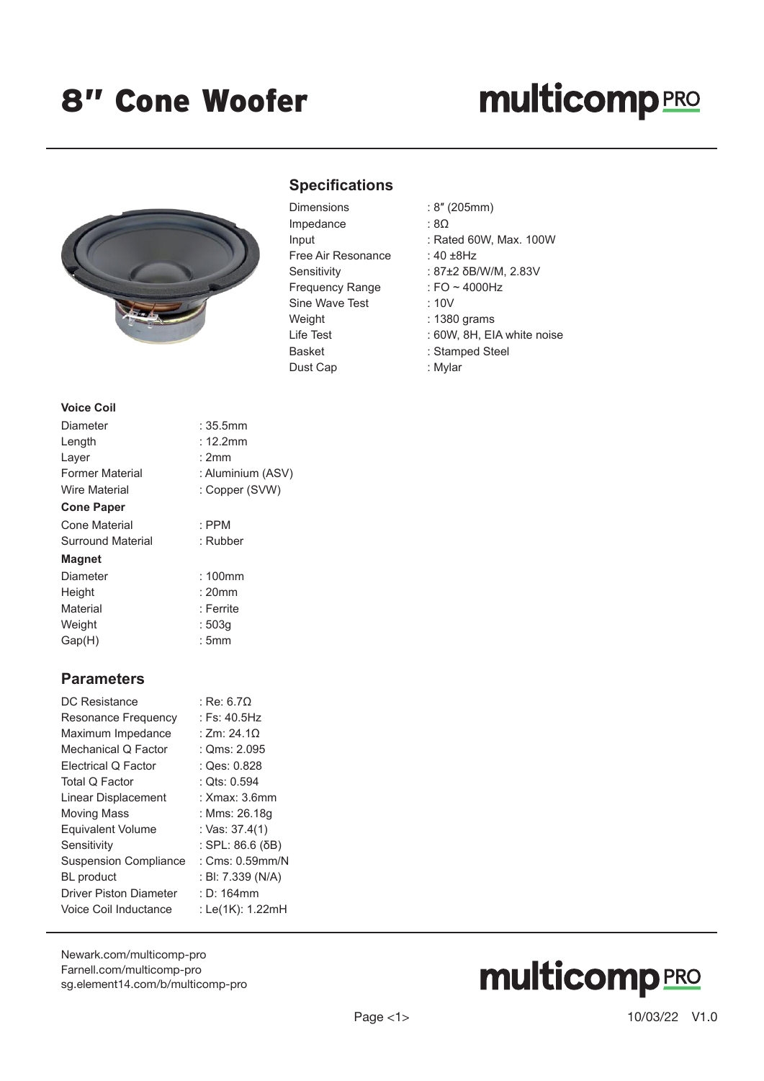## **multicomp**PRO



### **Specifications**

| Dimensions             |
|------------------------|
| Impedance              |
| Input                  |
| Free Air Resonance     |
| Sensitivity            |
| <b>Frequency Range</b> |
| Sine Wave Test         |
| Weight                 |
| Life Test              |
| <b>Basket</b>          |
| Dust Cap               |

- $: 8'' (205mm)$
- $:8\Omega$
- : Rated 60W, Max. 100W
- : 40  $±8$ Hz
- : 87±2 δB/W/M, 2.83V
- : FO  $\sim$  4000Hz
- $: 10V$
- : 1380 grams
- : 60W, 8H, EIA white noise
- : Stamped Steel
- : Mylar

#### **Voice Coil**

| :35.5mm           |
|-------------------|
| : 12.2mm          |
| :2mm              |
| : Aluminium (ASV) |
| : Copper (SVW)    |
|                   |
| $:$ PPM           |
| : Rubber          |
|                   |
| $:100$ mm         |
| $: 20$ mm         |
| : Ferrite         |
| : 503q            |
| : 5mm             |
|                   |

#### **Parameters**

| DC Resistance                 | : Re: 6.7 $\Omega$  |
|-------------------------------|---------------------|
| Resonance Frequency           | : Fs: $40.5$ Hz     |
| Maximum Impedance             | : Zm: 24.1 $\Omega$ |
| Mechanical Q Factor           | : $Qms: 2.095$      |
| <b>Electrical Q Factor</b>    | : Qes: 0.828        |
| Total Q Factor                | : Qts: 0.594        |
| Linear Displacement           | : Xmax: 3.6mm       |
| <b>Moving Mass</b>            | : Mms: 26.18g       |
| <b>Equivalent Volume</b>      | : Vas: 37.4(1)      |
| Sensitivity                   | : SPL: 86.6 (δB)    |
| <b>Suspension Compliance</b>  | : $Cms: 0.59mm/N$   |
| <b>BL</b> product             | : BI: 7.339 (N/A)   |
| <b>Driver Piston Diameter</b> | $: D: 164$ mm       |
| Voice Coil Inductance         | : Le(1K): 1.22mH    |
|                               |                     |

[Newark.com/multicomp-](https://www.newark.com/multicomp-pro)pro [Farnell.com/multicomp](https://www.farnell.com/multicomp-pro)-pro [sg.element14.com/b/multicomp-pro](https://sg.element14.com/b/multicomp-pro)

# **multicomp**PRO